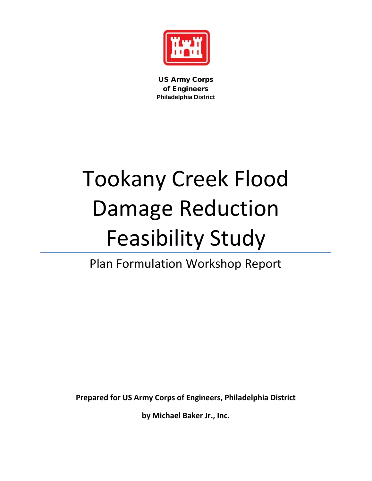

US Army Corps of Engineers **Philadelphia District**

# Tookany Creek Flood Damage Reduction Feasibility Study

# Plan Formulation Workshop Report

**Prepared for US Army Corps of Engineers, Philadelphia District**

**by Michael Baker Jr., Inc.**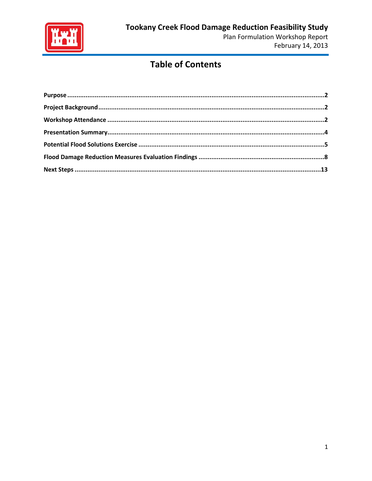

# **Table of Contents**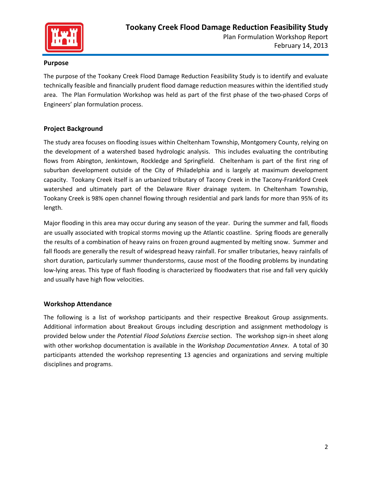

#### <span id="page-2-0"></span>**Purpose**

The purpose of the Tookany Creek Flood Damage Reduction Feasibility Study is to identify and evaluate technically feasible and financially prudent flood damage reduction measures within the identified study area. The Plan Formulation Workshop was held as part of the first phase of the two-phased Corps of Engineers' plan formulation process.

#### <span id="page-2-1"></span>**Project Background**

The study area focuses on flooding issues within Cheltenham Township, Montgomery County, relying on the development of a watershed based hydrologic analysis. This includes evaluating the contributing flows from Abington, Jenkintown, Rockledge and Springfield. Cheltenham is part of the first ring of suburban development outside of the City of Philadelphia and is largely at maximum development capacity. Tookany Creek itself is an urbanized tributary of Tacony Creek in the Tacony-Frankford Creek watershed and ultimately part of the Delaware River drainage system. In Cheltenham Township, Tookany Creek is 98% open channel flowing through residential and park lands for more than 95% of its length.

Major flooding in this area may occur during any season of the year. During the summer and fall, floods are usually associated with tropical storms moving up the Atlantic coastline. Spring floods are generally the results of a combination of heavy rains on frozen ground augmented by melting snow. Summer and fall floods are generally the result of widespread heavy rainfall. For smaller tributaries, heavy rainfalls of short duration, particularly summer thunderstorms, cause most of the flooding problems by inundating low-lying areas. This type of flash flooding is characterized by floodwaters that rise and fall very quickly and usually have high flow velocities.

#### <span id="page-2-2"></span>**Workshop Attendance**

The following is a list of workshop participants and their respective Breakout Group assignments. Additional information about Breakout Groups including description and assignment methodology is provided below under the *Potential Flood Solutions Exercise* section. The workshop sign-in sheet along with other workshop documentation is available in the *Workshop Documentation Annex*. A total of 30 participants attended the workshop representing 13 agencies and organizations and serving multiple disciplines and programs.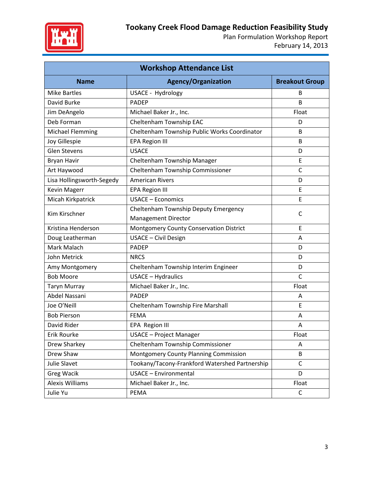

| <b>Workshop Attendance List</b> |                                                |                       |  |  |
|---------------------------------|------------------------------------------------|-----------------------|--|--|
| <b>Name</b>                     | <b>Agency/Organization</b>                     | <b>Breakout Group</b> |  |  |
| <b>Mike Bartles</b>             | USACE - Hydrology                              | B                     |  |  |
| David Burke                     | <b>PADEP</b>                                   | B                     |  |  |
| Jim DeAngelo                    | Michael Baker Jr., Inc.                        | Float                 |  |  |
| Deb Forman                      | Cheltenham Township EAC                        | D                     |  |  |
| <b>Michael Flemming</b>         | Cheltenham Township Public Works Coordinator   | B                     |  |  |
| Joy Gillespie                   | <b>EPA Region III</b>                          | B                     |  |  |
| <b>Glen Stevens</b>             | <b>USACE</b>                                   | D                     |  |  |
| <b>Bryan Havir</b>              | Cheltenham Township Manager                    | E                     |  |  |
| Art Haywood                     | Cheltenham Township Commissioner               | C                     |  |  |
| Lisa Hollingsworth-Segedy       | <b>American Rivers</b>                         | D                     |  |  |
| <b>Kevin Magerr</b>             | <b>EPA Region III</b>                          | E                     |  |  |
| Micah Kirkpatrick               | <b>USACE - Economics</b>                       | E                     |  |  |
| Kim Kirschner                   | Cheltenham Township Deputy Emergency           | C                     |  |  |
|                                 | <b>Management Director</b>                     |                       |  |  |
| Kristina Henderson              | Montgomery County Conservation District        | Ε                     |  |  |
| Doug Leatherman                 | USACE - Civil Design                           | Α                     |  |  |
| Mark Malach                     | <b>PADEP</b>                                   | D                     |  |  |
| John Metrick                    | <b>NRCS</b>                                    | D                     |  |  |
| Amy Montgomery                  | Cheltenham Township Interim Engineer           | D                     |  |  |
| <b>Bob Moore</b>                | <b>USACE - Hydraulics</b>                      | $\mathsf{C}$          |  |  |
| <b>Taryn Murray</b>             | Michael Baker Jr., Inc.                        | Float                 |  |  |
| Abdel Nassani                   | <b>PADEP</b>                                   | A                     |  |  |
| Joe O'Neill                     | Cheltenham Township Fire Marshall              | E                     |  |  |
| <b>Bob Pierson</b>              | <b>FEMA</b>                                    | Α                     |  |  |
| David Rider                     | EPA Region III                                 | A                     |  |  |
| Erik Rourke                     | <b>USACE - Project Manager</b>                 | Float                 |  |  |
| Drew Sharkey                    | Cheltenham Township Commissioner               | Α                     |  |  |
| Drew Shaw                       | Montgomery County Planning Commission          | B                     |  |  |
| Julie Slavet                    | Tookany/Tacony-Frankford Watershed Partnership | $\mathsf{C}$          |  |  |
| <b>Greg Wacik</b>               | <b>USACE - Environmental</b>                   | D                     |  |  |
| Alexis Williams                 | Michael Baker Jr., Inc.                        | Float                 |  |  |
| Julie Yu                        | PEMA                                           | $\mathsf{C}$          |  |  |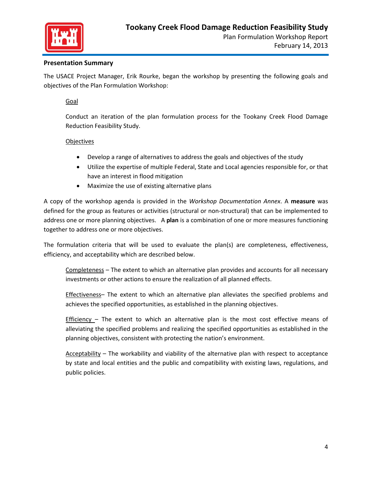

#### <span id="page-4-0"></span>**Presentation Summary**

The USACE Project Manager, Erik Rourke, began the workshop by presenting the following goals and objectives of the Plan Formulation Workshop:

#### Goal

Conduct an iteration of the plan formulation process for the Tookany Creek Flood Damage Reduction Feasibility Study.

#### **Objectives**

- Develop a range of alternatives to address the goals and objectives of the study
- Utilize the expertise of multiple Federal, State and Local agencies responsible for, or that have an interest in flood mitigation
- Maximize the use of existing alternative plans

A copy of the workshop agenda is provided in the *Workshop Documentation Annex*. A **measure** was defined for the group as features or activities (structural or non-structural) that can be implemented to address one or more planning objectives. A **plan** is a combination of one or more measures functioning together to address one or more objectives.

The formulation criteria that will be used to evaluate the plan(s) are completeness, effectiveness, efficiency, and acceptability which are described below.

Completeness – The extent to which an alternative plan provides and accounts for all necessary investments or other actions to ensure the realization of all planned effects.

Effectiveness– The extent to which an alternative plan alleviates the specified problems and achieves the specified opportunities, as established in the planning objectives.

Efficiency – The extent to which an alternative plan is the most cost effective means of alleviating the specified problems and realizing the specified opportunities as established in the planning objectives, consistent with protecting the nation's environment.

Acceptability – The workability and viability of the alternative plan with respect to acceptance by state and local entities and the public and compatibility with existing laws, regulations, and public policies.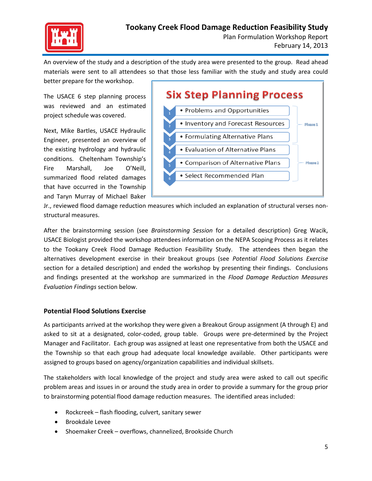

An overview of the study and a description of the study area were presented to the group. Read ahead materials were sent to all attendees so that those less familiar with the study and study area could better prepare for the workshop.

The USACE 6 step planning process was reviewed and an estimated project schedule was covered.

Next, Mike Bartles, USACE Hydraulic Engineer, presented an overview of the existing hydrology and hydraulic conditions. Cheltenham Township's Fire Marshall, Joe O'Neill, summarized flood related damages that have occurred in the Township and Taryn Murray of Michael Baker



Jr., reviewed flood damage reduction measures which included an explanation of structural verses nonstructural measures.

After the brainstorming session (see *Brainstorming Session* for a detailed description) Greg Wacik, USACE Biologist provided the workshop attendees information on the NEPA Scoping Process as it relates to the Tookany Creek Flood Damage Reduction Feasibility Study. The attendees then began the alternatives development exercise in their breakout groups (see *Potential Flood Solutions Exercise*  section for a detailed description) and ended the workshop by presenting their findings. Conclusions and findings presented at the workshop are summarized in the *Flood Damage Reduction Measures Evaluation Findings* section below.

#### <span id="page-5-0"></span>**Potential Flood Solutions Exercise**

As participants arrived at the workshop they were given a Breakout Group assignment (A through E) and asked to sit at a designated, color-coded, group table. Groups were pre-determined by the Project Manager and Facilitator. Each group was assigned at least one representative from both the USACE and the Township so that each group had adequate local knowledge available. Other participants were assigned to groups based on agency/organization capabilities and individual skillsets.

The stakeholders with local knowledge of the project and study area were asked to call out specific problem areas and issues in or around the study area in order to provide a summary for the group prior to brainstorming potential flood damage reduction measures. The identified areas included:

- Rockcreek flash flooding, culvert, sanitary sewer
- Brookdale Levee
- Shoemaker Creek overflows, channelized, Brookside Church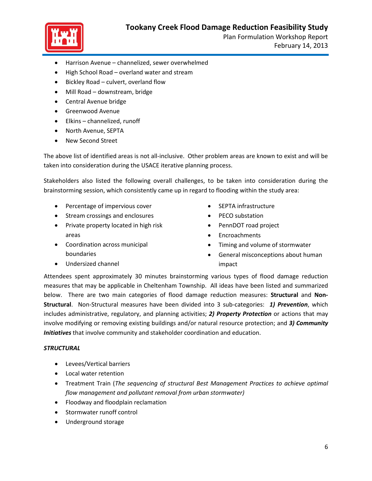

- Harrison Avenue channelized, sewer overwhelmed
- High School Road overland water and stream
- Bickley Road culvert, overland flow
- Mill Road downstream, bridge
- Central Avenue bridge
- Greenwood Avenue
- Elkins channelized, runoff
- North Avenue, SEPTA
- New Second Street

The above list of identified areas is not all-inclusive. Other problem areas are known to exist and will be taken into consideration during the USACE iterative planning process.

Stakeholders also listed the following overall challenges, to be taken into consideration during the brainstorming session, which consistently came up in regard to flooding within the study area:

- Percentage of impervious cover
- Stream crossings and enclosures
- Private property located in high risk areas
- Coordination across municipal boundaries
- SEPTA infrastructure
- PECO substation
- PennDOT road project
- Encroachments
- Timing and volume of stormwater
- General misconceptions about human impact

• Undersized channel

Attendees spent approximately 30 minutes brainstorming various types of flood damage reduction measures that may be applicable in Cheltenham Township. All ideas have been listed and summarized below. There are two main categories of flood damage reduction measures: **Structural** and **Non-Structural**. Non-Structural measures have been divided into 3 sub-categories: *1) Prevention*, which includes administrative, regulatory, and planning activities; *2) Property Protection* or actions that may involve modifying or removing existing buildings and/or natural resource protection; and *3) Community Initiatives* that involve community and stakeholder coordination and education.

#### *STRUCTURAL*

- Levees/Vertical barriers
- Local water retention
- Treatment Train (*The sequencing of structural Best Management Practices to achieve optimal flow management and pollutant removal from urban stormwater)*
- Floodway and floodplain reclamation
- Stormwater runoff control
- Underground storage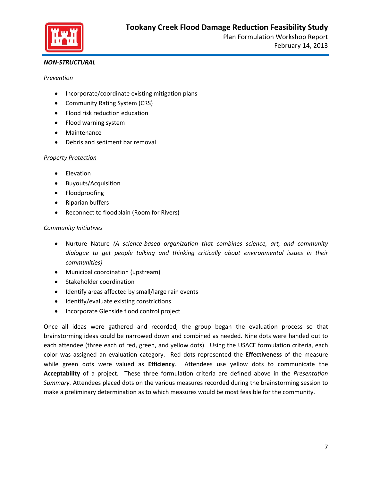

#### *NON-STRUCTURAL*

#### *Prevention*

- Incorporate/coordinate existing mitigation plans
- Community Rating System (CRS)
- Flood risk reduction education
- Flood warning system
- Maintenance
- Debris and sediment bar removal

#### *Property Protection*

- Elevation
- Buyouts/Acquisition
- Floodproofing
- Riparian buffers
- Reconnect to floodplain (Room for Rivers)

#### *Community Initiatives*

- Nurture Nature *(A science-based organization that combines science, art, and community dialogue to get people talking and thinking critically about environmental issues in their communities)*
- Municipal coordination (upstream)
- Stakeholder coordination
- Identify areas affected by small/large rain events
- Identify/evaluate existing constrictions
- Incorporate Glenside flood control project

Once all ideas were gathered and recorded, the group began the evaluation process so that brainstorming ideas could be narrowed down and combined as needed. Nine dots were handed out to each attendee (three each of red, green, and yellow dots). Using the USACE formulation criteria, each color was assigned an evaluation category. Red dots represented the **Effectiveness** of the measure while green dots were valued as **Efficiency**. Attendees use yellow dots to communicate the **Acceptability** of a project. These three formulation criteria are defined above in the *Presentation Summary.* Attendees placed dots on the various measures recorded during the brainstorming session to make a preliminary determination as to which measures would be most feasible for the community.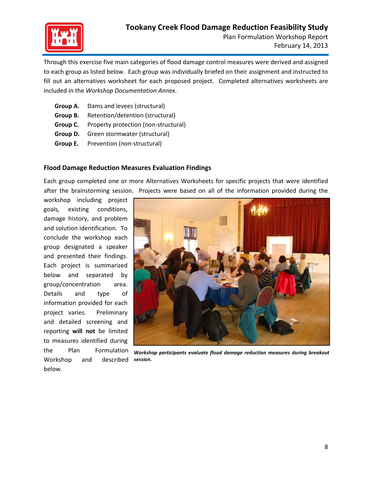

Through this exercise five main categories of flood damage control measures were derived and assigned to each group as listed below. Each group was individually briefed on their assignment and instructed to fill out an alternatives worksheet for each proposed project. Completed alternatives worksheets are included in the *Workshop Documentation Annex*.

- **Group A.** Dams and levees (structural)
- **Group B.** Retention/detention (structural)
- **Group C.** Property protection (non-structural)
- **Group D.** Green stormwater (structural)
- **Group E.** Prevention (non-structural)

#### <span id="page-8-0"></span>**Flood Damage Reduction Measures Evaluation Findings**

Each group completed one or more Alternatives Worksheets for specific projects that were identified after the brainstorming session. Projects were based on all of the information provided during the

workshop including project goals, existing conditions, damage history, and problem and solution identification. To conclude the workshop each group designated a speaker and presented their findings. Each project is summarized below and separated by group/concentration area. Details and type of information provided for each project varies. Preliminary and detailed screening and reporting **will not** be limited to measures identified during the Plan Formulation Workshop and described below.



*Workshop participants evaluate flood damage reduction measures during breakout session.*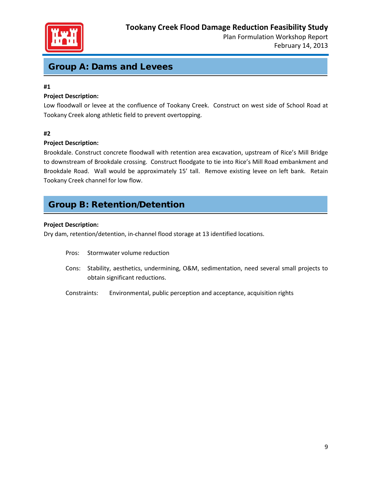

## Group A: Dams and Levees

#### **#1**

#### **Project Description:**

Low floodwall or levee at the confluence of Tookany Creek. Construct on west side of School Road at Tookany Creek along athletic field to prevent overtopping.

#### **#2**

#### **Project Description:**

Brookdale. Construct concrete floodwall with retention area excavation, upstream of Rice's Mill Bridge to downstream of Brookdale crossing. Construct floodgate to tie into Rice's Mill Road embankment and Brookdale Road. Wall would be approximately 15' tall. Remove existing levee on left bank. Retain Tookany Creek channel for low flow.

# Group B: Retention/Detention

#### **Project Description:**

Dry dam, retention/detention, in-channel flood storage at 13 identified locations.

- Pros: Stormwater volume reduction
- Cons: Stability, aesthetics, undermining, O&M, sedimentation, need several small projects to obtain significant reductions.
- Constraints: Environmental, public perception and acceptance, acquisition rights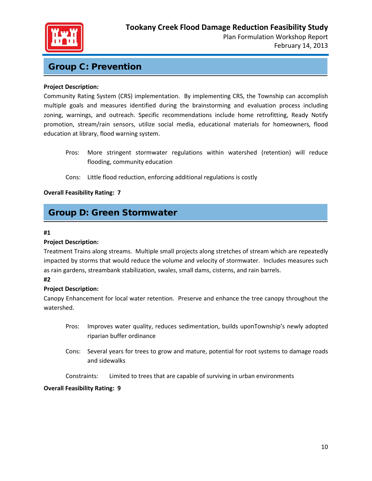

### Group C: Prevention

#### **Project Description:**

Community Rating System (CRS) implementation. By implementing CRS, the Township can accomplish multiple goals and measures identified during the brainstorming and evaluation process including zoning, warnings, and outreach. Specific recommendations include home retrofitting, Ready Notify promotion, stream/rain sensors, utilize social media, educational materials for homeowners, flood education at library, flood warning system.

Pros: More stringent stormwater regulations within watershed (retention) will reduce flooding, community education

#### Cons: Little flood reduction, enforcing additional regulations is costly

#### **Overall Feasibility Rating: 7**

## Group D: Green Stormwater

#### **#1**

#### **Project Description:**

Treatment Trains along streams. Multiple small projects along stretches of stream which are repeatedly impacted by storms that would reduce the volume and velocity of stormwater. Includes measures such as rain gardens, streambank stabilization, swales, small dams, cisterns, and rain barrels.

#### **#2**

#### **Project Description:**

Canopy Enhancement for local water retention. Preserve and enhance the tree canopy throughout the watershed.

- Pros: Improves water quality, reduces sedimentation, builds uponTownship's newly adopted riparian buffer ordinance
- Cons: Several years for trees to grow and mature, potential for root systems to damage roads and sidewalks

Constraints: Limited to trees that are capable of surviving in urban environments

#### **Overall Feasibility Rating: 9**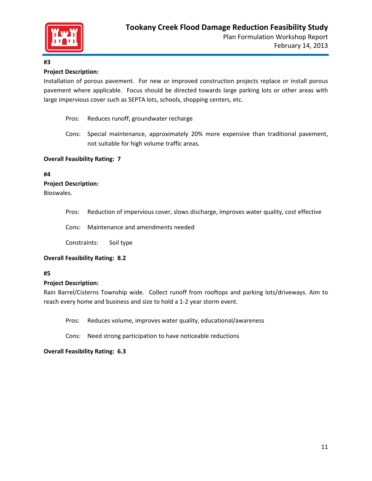

#### **#3**

#### **Project Description:**

Installation of porous pavement. For new or improved construction projects replace or install porous pavement where applicable. Focus should be directed towards large parking lots or other areas with large impervious cover such as SEPTA lots, schools, shopping centers, etc.

- Pros: Reduces runoff, groundwater recharge
- Cons: Special maintenance, approximately 20% more expensive than traditional pavement, not suitable for high volume traffic areas.

#### **Overall Feasibility Rating: 7**

#### **#4**

#### **Project Description:**

Bioswales.

Pros: Reduction of impervious cover, slows discharge, improves water quality, cost effective

Cons: Maintenance and amendments needed

Constraints: Soil type

#### **Overall Feasibility Rating: 8.2**

#### **#5**

#### **Project Description:**

Rain Barrel/Cisterns Township wide. Collect runoff from rooftops and parking lots/driveways. Aim to reach every home and business and size to hold a 1-2 year storm event.

Pros: Reduces volume, improves water quality, educational/awareness

Cons: Need strong participation to have noticeable reductions

#### **Overall Feasibility Rating: 6.3**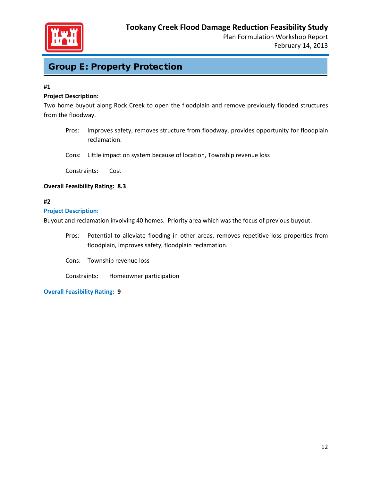

# Group E: Property Protection

#### **#1**

#### **Project Description:**

Two home buyout along Rock Creek to open the floodplain and remove previously flooded structures from the floodway.

- Pros: Improves safety, removes structure from floodway, provides opportunity for floodplain reclamation.
- Cons: Little impact on system because of location, Township revenue loss

Constraints: Cost

#### **Overall Feasibility Rating: 8.3**

#### **#2**

#### **Project Description:**

Buyout and reclamation involving 40 homes. Priority area which was the focus of previous buyout.

Pros: Potential to alleviate flooding in other areas, removes repetitive loss properties from floodplain, improves safety, floodplain reclamation.

Cons: Township revenue loss

Constraints: Homeowner participation

**Overall Feasibility Rating: 9**